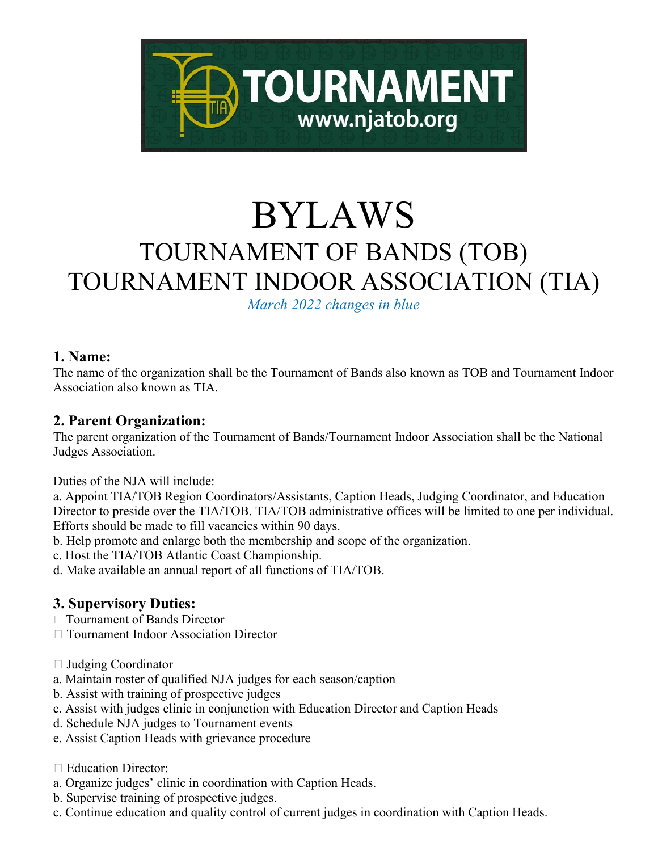

# BYLAWS<br>TOURNAMENT OF BANDS (TOB) TOURNAMENT INDOOR ASSOCIATION (TIA)

*March 2022 changes in blue*

#### **1. Name:**

The name of the organization shall be the Tournament of Bands also known as TOB and Tournament Indoor Association also known as TIA.

# **2. Parent Organization:**

The parent organization of the Tournament of Bands/Tournament Indoor Association shall be the National Judges Association.

Duties of the NJA will include:

a. Appoint TIA/TOB Region Coordinators/Assistants, Caption Heads, Judging Coordinator, and Education Director to preside over the TIA/TOB. TIA/TOB administrative offices will be limited to one per individual. Efforts should be made to fill vacancies within 90 days.

b. Help promote and enlarge both the membership and scope of the organization.

c. Host the TIA/TOB Atlantic Coast Championship.

d. Make available an annual report of all functions of TIA/TOB.

## **3. Supervisory Duties:**

- □ Tournament of Bands Director
- Tournament Indoor Association Director
- Judging Coordinator
- a. Maintain roster of qualified NJA judges for each season/caption
- b. Assist with training of prospective judges
- c. Assist with judges clinic in conjunction with Education Director and Caption Heads
- d. Schedule NJA judges to Tournament events
- e. Assist Caption Heads with grievance procedure
- □ Education Director:
- a. Organize judges' clinic in coordination with Caption Heads.
- b. Supervise training of prospective judges.
- c. Continue education and quality control of current judges in coordination with Caption Heads.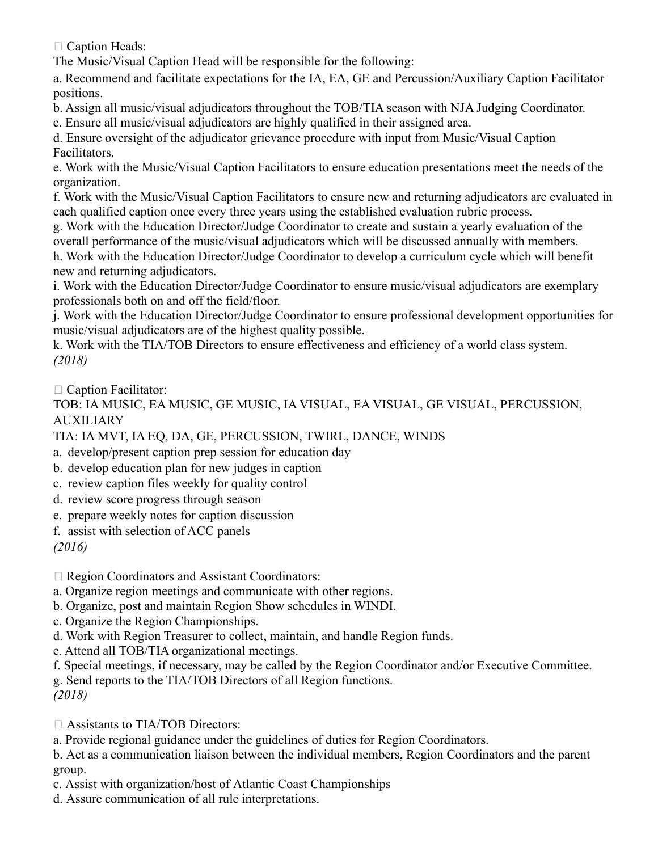□ Caption Heads:

The Music/Visual Caption Head will be responsible for the following:

a. Recommend and facilitate expectations for the IA, EA, GE and Percussion/Auxiliary Caption Facilitator positions.

b. Assign all music/visual adjudicators throughout the TOB/TIA season with NJA Judging Coordinator.

c. Ensure all music/visual adjudicators are highly qualified in their assigned area.

d. Ensure oversight of the adjudicator grievance procedure with input from Music/Visual Caption Facilitators.

e. Work with the Music/Visual Caption Facilitators to ensure education presentations meet the needs of the organization.

f. Work with the Music/Visual Caption Facilitators to ensure new and returning adjudicators are evaluated in each qualified caption once every three years using the established evaluation rubric process.

g. Work with the Education Director/Judge Coordinator to create and sustain a yearly evaluation of the overall performance of the music/visual adjudicators which will be discussed annually with members.

h. Work with the Education Director/Judge Coordinator to develop a curriculum cycle which will benefit new and returning adjudicators.

i. Work with the Education Director/Judge Coordinator to ensure music/visual adjudicators are exemplary professionals both on and off the field/floor.

j. Work with the Education Director/Judge Coordinator to ensure professional development opportunities for music/visual adjudicators are of the highest quality possible.

k. Work with the TIA/TOB Directors to ensure effectiveness and efficiency of a world class system. *(2018)*

□ Caption Facilitator:

TOB: IA MUSIC, EA MUSIC, GE MUSIC, IA VISUAL, EA VISUAL, GE VISUAL, PERCUSSION, AUXILIARY

TIA: IA MVT, IA EQ, DA, GE, PERCUSSION, TWIRL, DANCE, WINDS

- a. develop/present caption prep session for education day
- b. develop education plan for new judges in caption
- c. review caption files weekly for quality control
- d. review score progress through season
- e. prepare weekly notes for caption discussion
- f. assist with selection of ACC panels

*(2016)*

□ Region Coordinators and Assistant Coordinators:

a. Organize region meetings and communicate with other regions.

- b. Organize, post and maintain Region Show schedules in WINDI.
- c. Organize the Region Championships.
- d. Work with Region Treasurer to collect, maintain, and handle Region funds.
- e. Attend all TOB/TIA organizational meetings.
- f. Special meetings, if necessary, may be called by the Region Coordinator and/or Executive Committee.

g. Send reports to the TIA/TOB Directors of all Region functions.

*(2018)*

Assistants to TIA/TOB Directors:

a. Provide regional guidance under the guidelines of duties for Region Coordinators.

b. Act as a communication liaison between the individual members, Region Coordinators and the parent group.

c. Assist with organization/host of Atlantic Coast Championships

d. Assure communication of all rule interpretations.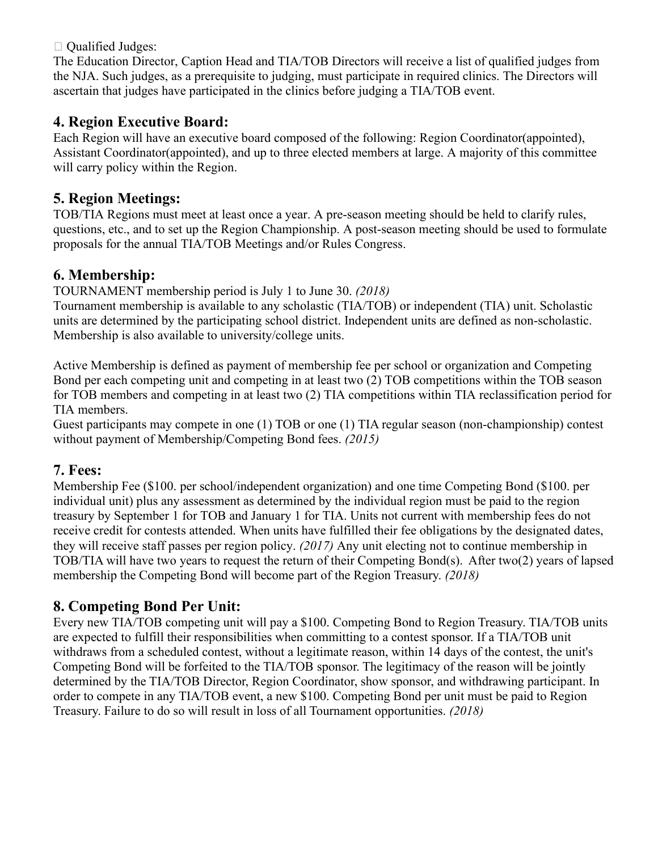$\Box$  Qualified Judges:

The Education Director, Caption Head and TIA/TOB Directors will receive a list of qualified judges from the NJA. Such judges, as a prerequisite to judging, must participate in required clinics. The Directors will ascertain that judges have participated in the clinics before judging a TIA/TOB event.

# **4. Region Executive Board:**

Each Region will have an executive board composed of the following: Region Coordinator(appointed), Assistant Coordinator(appointed), and up to three elected members at large. A majority of this committee will carry policy within the Region.

## **5. Region Meetings:**

TOB/TIA Regions must meet at least once a year. A pre-season meeting should be held to clarify rules, questions, etc., and to set up the Region Championship. A post-season meeting should be used to formulate proposals for the annual TIA/TOB Meetings and/or Rules Congress.

## **6. Membership:**

TOURNAMENT membership period is July 1 to June 30. *(2018)*

Tournament membership is available to any scholastic (TIA/TOB) or independent (TIA) unit. Scholastic units are determined by the participating school district. Independent units are defined as non-scholastic. Membership is also available to university/college units.

Active Membership is defined as payment of membership fee per school or organization and Competing Bond per each competing unit and competing in at least two (2) TOB competitions within the TOB season for TOB members and competing in at least two (2) TIA competitions within TIA reclassification period for TIA members.

Guest participants may compete in one (1) TOB or one (1) TIA regular season (non-championship) contest without payment of Membership/Competing Bond fees. *(2015)*

## **7. Fees:**

Membership Fee (\$100. per school/independent organization) and one time Competing Bond (\$100. per individual unit) plus any assessment as determined by the individual region must be paid to the region treasury by September 1 for TOB and January 1 for TIA. Units not current with membership fees do not receive credit for contests attended. When units have fulfilled their fee obligations by the designated dates, they will receive staff passes per region policy. *(2017)* Any unit electing not to continue membership in TOB/TIA will have two years to request the return of their Competing Bond(s). After two(2) years of lapsed membership the Competing Bond will become part of the Region Treasury. *(2018)*

# **8. Competing Bond Per Unit:**

Every new TIA/TOB competing unit will pay a \$100. Competing Bond to Region Treasury. TIA/TOB units are expected to fulfill their responsibilities when committing to a contest sponsor. If a TIA/TOB unit withdraws from a scheduled contest, without a legitimate reason, within 14 days of the contest, the unit's Competing Bond will be forfeited to the TIA/TOB sponsor. The legitimacy of the reason will be jointly determined by the TIA/TOB Director, Region Coordinator, show sponsor, and withdrawing participant. In order to compete in any TIA/TOB event, a new \$100. Competing Bond per unit must be paid to Region Treasury. Failure to do so will result in loss of all Tournament opportunities. *(2018)*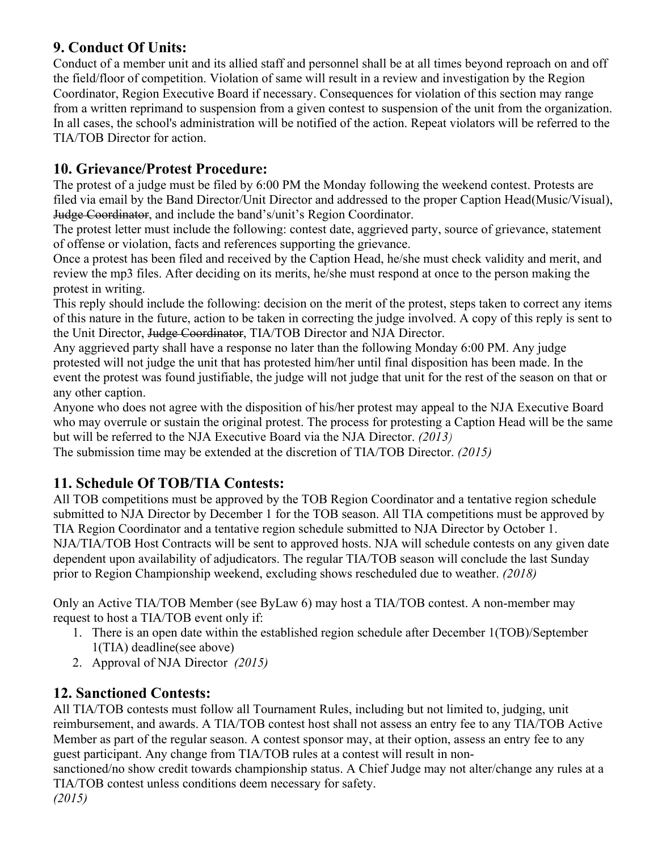## **9. Conduct Of Units:**

Conduct of a member unit and its allied staff and personnel shall be at all times beyond reproach on and off the field/floor of competition. Violation of same will result in a review and investigation by the Region Coordinator, Region Executive Board if necessary. Consequences for violation of this section may range from a written reprimand to suspension from a given contest to suspension of the unit from the organization. In all cases, the school's administration will be notified of the action. Repeat violators will be referred to the TIA/TOB Director for action.

#### **10. Grievance/Protest Procedure:**

The protest of a judge must be filed by 6:00 PM the Monday following the weekend contest. Protests are filed via email by the Band Director/Unit Director and addressed to the proper Caption Head(Music/Visual), Judge Coordinator, and include the band's/unit's Region Coordinator.

The protest letter must include the following: contest date, aggrieved party, source of grievance, statement of offense or violation, facts and references supporting the grievance.

Once a protest has been filed and received by the Caption Head, he/she must check validity and merit, and review the mp3 files. After deciding on its merits, he/she must respond at once to the person making the protest in writing.

This reply should include the following: decision on the merit of the protest, steps taken to correct any items of this nature in the future, action to be taken in correcting the judge involved. A copy of this reply is sent to the Unit Director, Judge Coordinator, TIA/TOB Director and NJA Director.

Any aggrieved party shall have a response no later than the following Monday 6:00 PM. Any judge protested will not judge the unit that has protested him/her until final disposition has been made. In the event the protest was found justifiable, the judge will not judge that unit for the rest of the season on that or any other caption.

Anyone who does not agree with the disposition of his/her protest may appeal to the NJA Executive Board who may overrule or sustain the original protest. The process for protesting a Caption Head will be the same but will be referred to the NJA Executive Board via the NJA Director. *(2013)* 

The submission time may be extended at the discretion of TIA/TOB Director. *(2015)* 

## **11. Schedule Of TOB/TIA Contests:**

All TOB competitions must be approved by the TOB Region Coordinator and a tentative region schedule submitted to NJA Director by December 1 for the TOB season. All TIA competitions must be approved by TIA Region Coordinator and a tentative region schedule submitted to NJA Director by October 1. NJA/TIA/TOB Host Contracts will be sent to approved hosts. NJA will schedule contests on any given date dependent upon availability of adjudicators. The regular TIA/TOB season will conclude the last Sunday prior to Region Championship weekend, excluding shows rescheduled due to weather. *(2018)*

Only an Active TIA/TOB Member (see ByLaw 6) may host a TIA/TOB contest. A non-member may request to host a TIA/TOB event only if:

- 1. There is an open date within the established region schedule after December 1(TOB)/September 1(TIA) deadline(see above)
- 2. Approval of NJA Director *(2015)*

## **12. Sanctioned Contests:**

All TIA/TOB contests must follow all Tournament Rules, including but not limited to, judging, unit reimbursement, and awards. A TIA/TOB contest host shall not assess an entry fee to any TIA/TOB Active Member as part of the regular season. A contest sponsor may, at their option, assess an entry fee to any guest participant. Any change from TIA/TOB rules at a contest will result in non-

sanctioned/no show credit towards championship status. A Chief Judge may not alter/change any rules at a TIA/TOB contest unless conditions deem necessary for safety. *(2015)*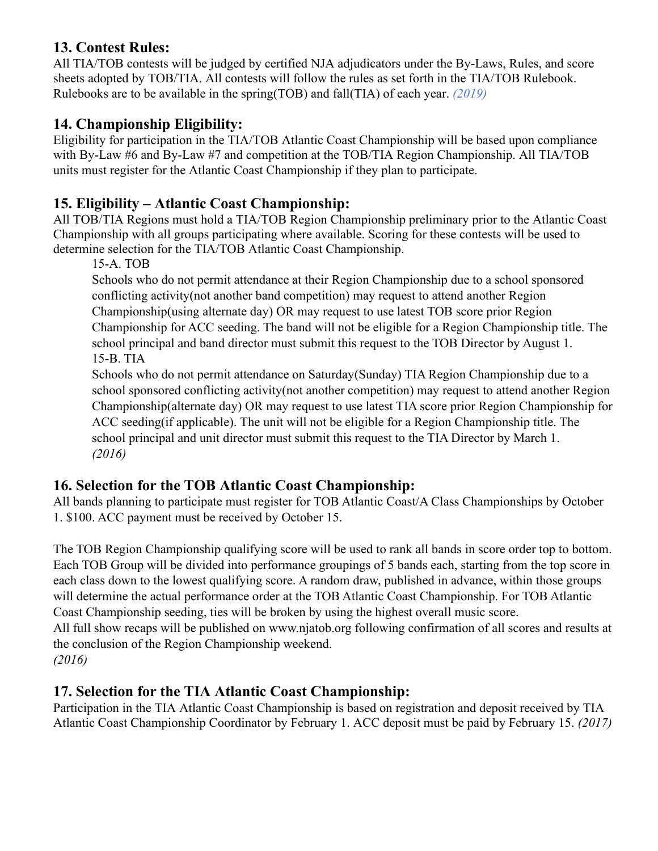#### **13. Contest Rules:**

All TIA/TOB contests will be judged by certified NJA adjudicators under the By-Laws, Rules, and score sheets adopted by TOB/TIA. All contests will follow the rules as set forth in the TIA/TOB Rulebook. Rulebooks are to be available in the spring(TOB) and fall(TIA) of each year. *(2019)*

# **14. Championship Eligibility:**

Eligibility for participation in the TIA/TOB Atlantic Coast Championship will be based upon compliance with By-Law #6 and By-Law #7 and competition at the TOB/TIA Region Championship. All TIA/TOB units must register for the Atlantic Coast Championship if they plan to participate.

# **15. Eligibility – Atlantic Coast Championship:**

All TOB/TIA Regions must hold a TIA/TOB Region Championship preliminary prior to the Atlantic Coast Championship with all groups participating where available. Scoring for these contests will be used to determine selection for the TIA/TOB Atlantic Coast Championship.

15-A. TOB

Schools who do not permit attendance at their Region Championship due to a school sponsored conflicting activity(not another band competition) may request to attend another Region Championship(using alternate day) OR may request to use latest TOB score prior Region Championship for ACC seeding. The band will not be eligible for a Region Championship title. The school principal and band director must submit this request to the TOB Director by August 1. 15-B. TIA

Schools who do not permit attendance on Saturday(Sunday) TIA Region Championship due to a school sponsored conflicting activity(not another competition) may request to attend another Region Championship(alternate day) OR may request to use latest TIA score prior Region Championship for ACC seeding(if applicable). The unit will not be eligible for a Region Championship title. The school principal and unit director must submit this request to the TIA Director by March 1. *(2016)*

# **16. Selection for the TOB Atlantic Coast Championship:**

All bands planning to participate must register for TOB Atlantic Coast/A Class Championships by October 1. \$100. ACC payment must be received by October 15.

The TOB Region Championship qualifying score will be used to rank all bands in score order top to bottom. Each TOB Group will be divided into performance groupings of 5 bands each, starting from the top score in each class down to the lowest qualifying score. A random draw, published in advance, within those groups will determine the actual performance order at the TOB Atlantic Coast Championship. For TOB Atlantic Coast Championship seeding, ties will be broken by using the highest overall music score. All full show recaps will be published on www.njatob.org following confirmation of all scores and results at the conclusion of the Region Championship weekend. *(2016)*

## **17. Selection for the TIA Atlantic Coast Championship:**

Participation in the TIA Atlantic Coast Championship is based on registration and deposit received by TIA Atlantic Coast Championship Coordinator by February 1. ACC deposit must be paid by February 15. *(2017)*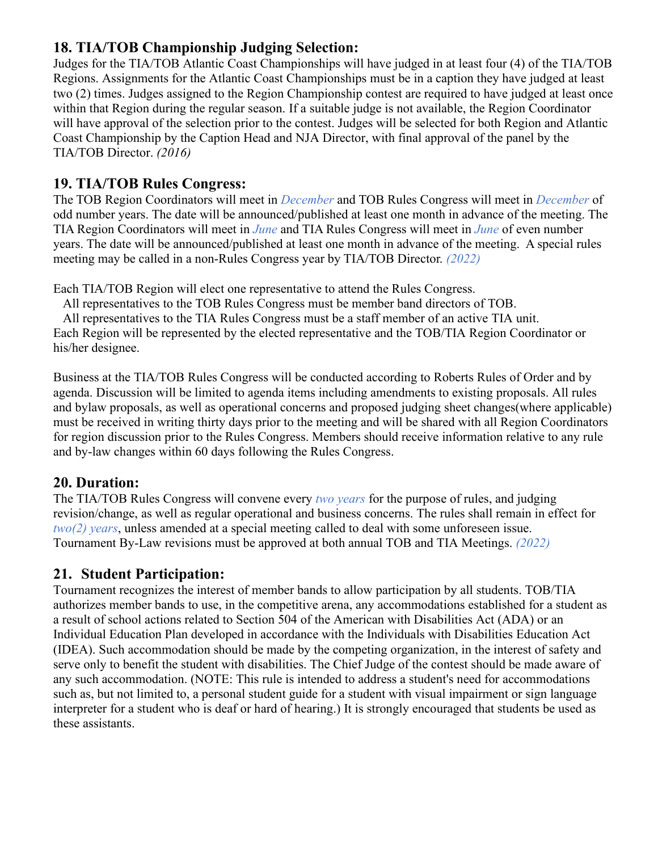#### **18. TIA/TOB Championship Judging Selection:**

Judges for the TIA/TOB Atlantic Coast Championships will have judged in at least four (4) of the TIA/TOB Regions. Assignments for the Atlantic Coast Championships must be in a caption they have judged at least two (2) times. Judges assigned to the Region Championship contest are required to have judged at least once within that Region during the regular season. If a suitable judge is not available, the Region Coordinator will have approval of the selection prior to the contest. Judges will be selected for both Region and Atlantic Coast Championship by the Caption Head and NJA Director, with final approval of the panel by the TIA/TOB Director. *(2016)*

#### **19. TIA/TOB Rules Congress:**

The TOB Region Coordinators will meet in *December* and TOB Rules Congress will meet in *December* of odd number years. The date will be announced/published at least one month in advance of the meeting. The TIA Region Coordinators will meet in *June* and TIA Rules Congress will meet in *June* of even number years. The date will be announced/published at least one month in advance of the meeting. A special rules meeting may be called in a non-Rules Congress year by TIA/TOB Director. *(2022)*

Each TIA/TOB Region will elect one representative to attend the Rules Congress.

All representatives to the TOB Rules Congress must be member band directors of TOB.

All representatives to the TIA Rules Congress must be a staff member of an active TIA unit.

Each Region will be represented by the elected representative and the TOB/TIA Region Coordinator or his/her designee.

Business at the TIA/TOB Rules Congress will be conducted according to Roberts Rules of Order and by agenda. Discussion will be limited to agenda items including amendments to existing proposals. All rules and bylaw proposals, as well as operational concerns and proposed judging sheet changes(where applicable) must be received in writing thirty days prior to the meeting and will be shared with all Region Coordinators for region discussion prior to the Rules Congress. Members should receive information relative to any rule and by-law changes within 60 days following the Rules Congress.

## **20. Duration:**

The TIA/TOB Rules Congress will convene every *two years* for the purpose of rules, and judging revision/change, as well as regular operational and business concerns. The rules shall remain in effect for *two(2) years*, unless amended at a special meeting called to deal with some unforeseen issue. Tournament By-Law revisions must be approved at both annual TOB and TIA Meetings. *(2022)*

## **21. Student Participation:**

Tournament recognizes the interest of member bands to allow participation by all students. TOB/TIA authorizes member bands to use, in the competitive arena, any accommodations established for a student as a result of school actions related to Section 504 of the American with Disabilities Act (ADA) or an Individual Education Plan developed in accordance with the Individuals with Disabilities Education Act (IDEA). Such accommodation should be made by the competing organization, in the interest of safety and serve only to benefit the student with disabilities. The Chief Judge of the contest should be made aware of any such accommodation. (NOTE: This rule is intended to address a student's need for accommodations such as, but not limited to, a personal student guide for a student with visual impairment or sign language interpreter for a student who is deaf or hard of hearing.) It is strongly encouraged that students be used as these assistants.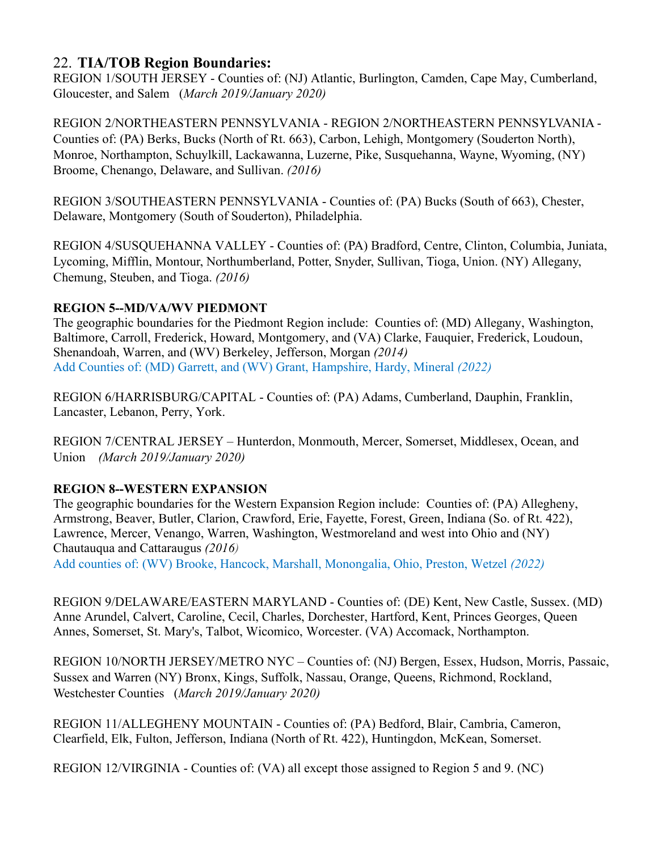#### 22. **TIA/TOB Region Boundaries:**

REGION 1/SOUTH JERSEY - Counties of: (NJ) Atlantic, Burlington, Camden, Cape May, Cumberland, Gloucester, and Salem (*March 2019/January 2020)*

REGION 2/NORTHEASTERN PENNSYLVANIA - REGION 2/NORTHEASTERN PENNSYLVANIA - Counties of: (PA) Berks, Bucks (North of Rt. 663), Carbon, Lehigh, Montgomery (Souderton North), Monroe, Northampton, Schuylkill, Lackawanna, Luzerne, Pike, Susquehanna, Wayne, Wyoming, (NY) Broome, Chenango, Delaware, and Sullivan. *(2016)*

REGION 3/SOUTHEASTERN PENNSYLVANIA - Counties of: (PA) Bucks (South of 663), Chester, Delaware, Montgomery (South of Souderton), Philadelphia.

REGION 4/SUSQUEHANNA VALLEY - Counties of: (PA) Bradford, Centre, Clinton, Columbia, Juniata, Lycoming, Mifflin, Montour, Northumberland, Potter, Snyder, Sullivan, Tioga, Union. (NY) Allegany, Chemung, Steuben, and Tioga. *(2016)*

#### **REGION 5--MD/VA/WV PIEDMONT**

The geographic boundaries for the Piedmont Region include: Counties of: (MD) Allegany, Washington, Baltimore, Carroll, Frederick, Howard, Montgomery, and (VA) Clarke, Fauquier, Frederick, Loudoun, Shenandoah, Warren, and (WV) Berkeley, Jefferson, Morgan *(2014)* Add Counties of: (MD) Garrett, and (WV) Grant, Hampshire, Hardy, Mineral *(2022)*

REGION 6/HARRISBURG/CAPITAL - Counties of: (PA) Adams, Cumberland, Dauphin, Franklin, Lancaster, Lebanon, Perry, York.

REGION 7/CENTRAL JERSEY – Hunterdon, Monmouth, Mercer, Somerset, Middlesex, Ocean, and Union *(March 2019/January 2020)*

#### **REGION 8--WESTERN EXPANSION**

The geographic boundaries for the Western Expansion Region include: Counties of: (PA) Allegheny, Armstrong, Beaver, Butler, Clarion, Crawford, Erie, Fayette, Forest, Green, Indiana (So. of Rt. 422), Lawrence, Mercer, Venango, Warren, Washington, Westmoreland and west into Ohio and (NY) Chautauqua and Cattaraugus *(2016)*

Add counties of: (WV) Brooke, Hancock, Marshall, Monongalia, Ohio, Preston, Wetzel *(2022)*

REGION 9/DELAWARE/EASTERN MARYLAND - Counties of: (DE) Kent, New Castle, Sussex. (MD) Anne Arundel, Calvert, Caroline, Cecil, Charles, Dorchester, Hartford, Kent, Princes Georges, Queen Annes, Somerset, St. Mary's, Talbot, Wicomico, Worcester. (VA) Accomack, Northampton.

REGION 10/NORTH JERSEY/METRO NYC – Counties of: (NJ) Bergen, Essex, Hudson, Morris, Passaic, Sussex and Warren (NY) Bronx, Kings, Suffolk, Nassau, Orange, Queens, Richmond, Rockland, Westchester Counties (*March 2019/January 2020)*

REGION 11/ALLEGHENY MOUNTAIN - Counties of: (PA) Bedford, Blair, Cambria, Cameron, Clearfield, Elk, Fulton, Jefferson, Indiana (North of Rt. 422), Huntingdon, McKean, Somerset.

REGION 12/VIRGINIA - Counties of: (VA) all except those assigned to Region 5 and 9. (NC)